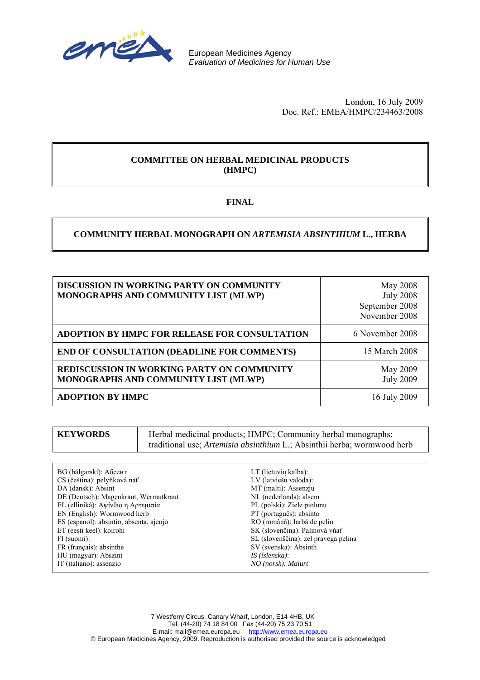

European Medicines Agency *Evaluation of Medicines for Human Use* 

> London, 16 July 2009 Doc. Ref.: EMEA/HMPC/234463/2008

### **COMMITTEE ON HERBAL MEDICINAL PRODUCTS (HMPC)**

### **FINAL**

### **COMMUNITY HERBAL MONOGRAPH ON** *ARTEMISIA ABSINTHIUM* **L., HERBA**

| <b>DISCUSSION IN WORKING PARTY ON COMMUNITY</b><br>MONOGRAPHS AND COMMUNITY LIST (MLWP)   | May 2008<br><b>July 2008</b><br>September 2008<br>November 2008 |
|-------------------------------------------------------------------------------------------|-----------------------------------------------------------------|
| <b>ADOPTION BY HMPC FOR RELEASE FOR CONSULTATION</b>                                      | 6 November 2008                                                 |
| <b>END OF CONSULTATION (DEADLINE FOR COMMENTS)</b>                                        | 15 March 2008                                                   |
| <b>REDISCUSSION IN WORKING PARTY ON COMMUNITY</b><br>MONOGRAPHS AND COMMUNITY LIST (MLWP) | May 2009<br><b>July 2009</b>                                    |
| <b>ADOPTION BY HMPC</b>                                                                   | 16 July 2009                                                    |

| <b>KEYWORDS</b> | Herbal medicinal products; HMPC; Community herbal monographs;                   |
|-----------------|---------------------------------------------------------------------------------|
|                 | traditional use; <i>Artemisia absinthium</i> L.; Absinthii herba; wormwood herb |

- BG (bălgarski): Абсент CS (čeština): pelyňková nať DA (dansk): Absint DE (Deutsch): Magenkraut, Wermutkraut EL (elliniká): Αψίνθιο η Αρτεμισία EN (English): Wormwood herb ES (espanol): absintio, absenta, ajenjo ET (eesti keel): koirohi FI (suomi): FR (français): absinthe HU (magyar): Abszint IT (italiano): assenzio
- LT (lietuvių kalba): LV (latviešu valoda): MT (malti): Assenzju NL (nederlands): alsem PL (polski): Ziele piolunu PT (português): absinto RO (română): Iarbă de pelin SK (slovenčina): Palinová vňať SL (slovenščina): zel pravega pelina SV (svenska): Absinth *IS (íslenska)*: *NO (norsk): Malurt*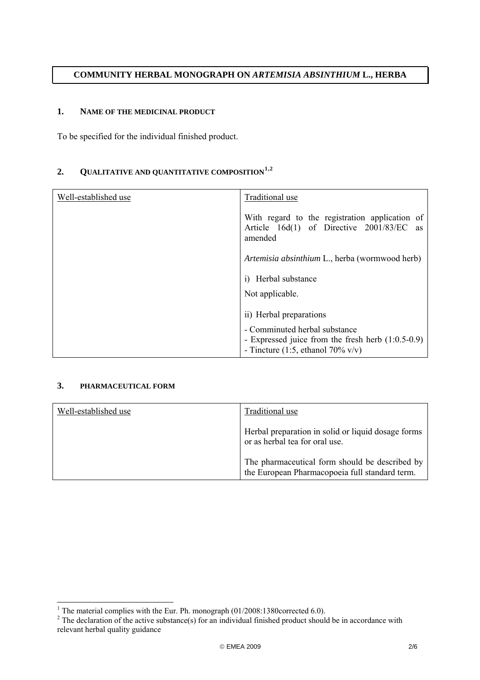### **COMMUNITY HERBAL MONOGRAPH ON** *ARTEMISIA ABSINTHIUM* **L., HERBA**

#### **1. NAME OF THE MEDICINAL PRODUCT**

To be specified for the individual finished product.

# **2. QUALITATIVE AND QUANTITATIVE COMPOSITION[1](#page-1-0),[2](#page-1-1)**

| Well-established use | Traditional use                                                                                                           |
|----------------------|---------------------------------------------------------------------------------------------------------------------------|
|                      | With regard to the registration application of<br>Article 16d(1) of Directive 2001/83/EC as<br>amended                    |
|                      | Artemisia absinthium L., herba (wormwood herb)                                                                            |
|                      | Herbal substance<br>$\mathbf{i}$                                                                                          |
|                      | Not applicable.                                                                                                           |
|                      | ii) Herbal preparations                                                                                                   |
|                      | - Comminuted herbal substance<br>- Expressed juice from the fresh herb (1:0.5-0.9)<br>- Tincture $(1:5,$ ethanol 70% v/v) |

### **3. PHARMACEUTICAL FORM**

| Well-established use | Traditional use                                                                                  |
|----------------------|--------------------------------------------------------------------------------------------------|
|                      | Herbal preparation in solid or liquid dosage forms<br>or as herbal tea for oral use.             |
|                      | The pharmaceutical form should be described by<br>the European Pharmacopoeia full standard term. |

<span id="page-1-1"></span>

<span id="page-1-0"></span><sup>&</sup>lt;sup>1</sup> The material complies with the Eur. Ph. monograph (01/2008:1380corrected 6.0).<br><sup>2</sup> The declaration of the active substance(s) for an individual finished product should be in accordance with relevant herbal quality guidance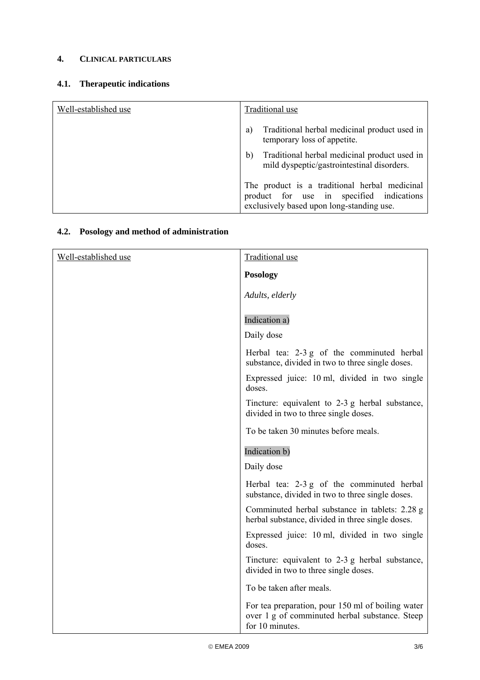# **4. CLINICAL PARTICULARS**

### **4.1. Therapeutic indications**

| Well-established use | Traditional use                                                                                                                        |
|----------------------|----------------------------------------------------------------------------------------------------------------------------------------|
|                      | Traditional herbal medicinal product used in<br>a)<br>temporary loss of appetite.                                                      |
|                      | Traditional herbal medicinal product used in<br>b)<br>mild dyspeptic/gastrointestinal disorders.                                       |
|                      | The product is a traditional herbal medicinal<br>product for use in specified indications<br>exclusively based upon long-standing use. |

# **4.2. Posology and method of administration**

| Well-established use | <b>Traditional use</b>                                                                                                 |
|----------------------|------------------------------------------------------------------------------------------------------------------------|
|                      | <b>Posology</b>                                                                                                        |
|                      | Adults, elderly                                                                                                        |
|                      | Indication a)                                                                                                          |
|                      | Daily dose                                                                                                             |
|                      | Herbal tea: 2-3 g of the comminuted herbal<br>substance, divided in two to three single doses.                         |
|                      | Expressed juice: 10 ml, divided in two single<br>doses.                                                                |
|                      | Tincture: equivalent to 2-3 g herbal substance,<br>divided in two to three single doses.                               |
|                      | To be taken 30 minutes before meals.                                                                                   |
|                      | Indication b)                                                                                                          |
|                      | Daily dose                                                                                                             |
|                      | Herbal tea: 2-3 g of the comminuted herbal<br>substance, divided in two to three single doses.                         |
|                      | Comminuted herbal substance in tablets: 2.28 g<br>herbal substance, divided in three single doses.                     |
|                      | Expressed juice: 10 ml, divided in two single<br>doses.                                                                |
|                      | Tincture: equivalent to 2-3 g herbal substance,<br>divided in two to three single doses.                               |
|                      | To be taken after meals.                                                                                               |
|                      | For tea preparation, pour 150 ml of boiling water<br>over 1 g of comminuted herbal substance. Steep<br>for 10 minutes. |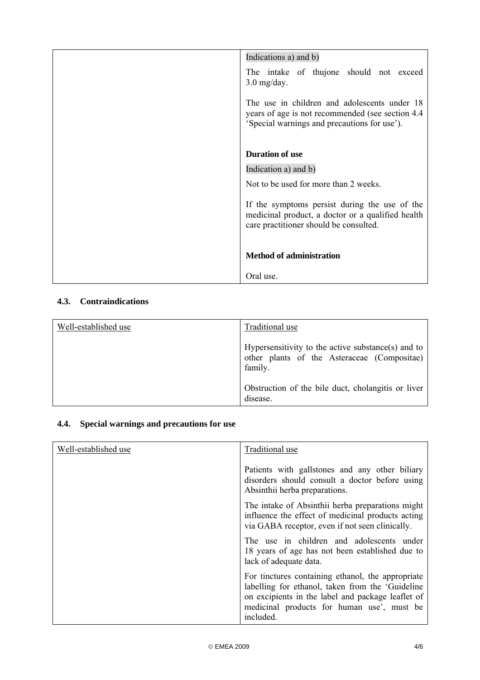| Indications a) and b)                                                                                                                             |
|---------------------------------------------------------------------------------------------------------------------------------------------------|
| The intake of thujone should not exceed<br>$3.0$ mg/day.                                                                                          |
| The use in children and adolescents under 18<br>years of age is not recommended (see section 4.4)<br>'Special warnings and precautions for use'). |
| <b>Duration of use</b>                                                                                                                            |
| Indication a) and b)                                                                                                                              |
| Not to be used for more than 2 weeks.                                                                                                             |
| If the symptoms persist during the use of the<br>medicinal product, a doctor or a qualified health<br>care practitioner should be consulted.      |
| <b>Method of administration</b>                                                                                                                   |
| Oral use.                                                                                                                                         |

# **4.3. Contraindications**

| Well-established use | Traditional use                                                                                              |
|----------------------|--------------------------------------------------------------------------------------------------------------|
|                      | Hypersensitivity to the active substance(s) and to<br>other plants of the Asteraceae (Compositae)<br>family. |
|                      | Obstruction of the bile duct, cholangitis or liver<br>disease.                                               |

# **4.4. Special warnings and precautions for use**

| Well-established use | Traditional use                                                                                                                                                                                                        |
|----------------------|------------------------------------------------------------------------------------------------------------------------------------------------------------------------------------------------------------------------|
|                      | Patients with gallstones and any other biliary<br>disorders should consult a doctor before using<br>Absinthii herba preparations.                                                                                      |
|                      | The intake of Absinthii herba preparations might<br>influence the effect of medicinal products acting<br>via GABA receptor, even if not seen clinically.                                                               |
|                      | The use in children and adolescents under<br>18 years of age has not been established due to<br>lack of adequate data.                                                                                                 |
|                      | For tinctures containing ethanol, the appropriate<br>labelling for ethanol, taken from the 'Guideline'<br>on excipients in the label and package leaflet of<br>medicinal products for human use', must be<br>included. |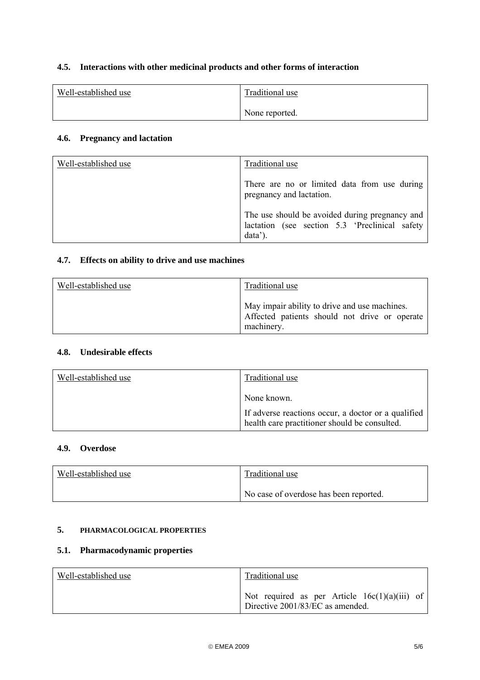# **4.5. Interactions with other medicinal products and other forms of interaction**

| Well-established use | Traditional use |
|----------------------|-----------------|
|                      | None reported.  |

### **4.6. Pregnancy and lactation**

| Well-established use | Traditional use                                                                                             |
|----------------------|-------------------------------------------------------------------------------------------------------------|
|                      | There are no or limited data from use during<br>pregnancy and lactation.                                    |
|                      | The use should be avoided during pregnancy and<br>lactation (see section 5.3 'Preclinical safety<br>data'). |

### **4.7. Effects on ability to drive and use machines**

| Well-established use | <b>Traditional use</b>                                                                                       |
|----------------------|--------------------------------------------------------------------------------------------------------------|
|                      | May impair ability to drive and use machines.<br>Affected patients should not drive or operate<br>machinery. |

### **4.8. Undesirable effects**

| Well-established use | Traditional use                                                                                      |
|----------------------|------------------------------------------------------------------------------------------------------|
|                      | None known.                                                                                          |
|                      | If adverse reactions occur, a doctor or a qualified<br>health care practitioner should be consulted. |

### **4.9. Overdose**

| Well-established use | Traditional use                        |
|----------------------|----------------------------------------|
|                      | No case of overdose has been reported. |

# **5. PHARMACOLOGICAL PROPERTIES**

#### **5.1. Pharmacodynamic properties**

| Well-established use | Traditional use                                                                     |
|----------------------|-------------------------------------------------------------------------------------|
|                      | Not required as per Article $16c(1)(a)(iii)$ of<br>Directive 2001/83/EC as amended. |